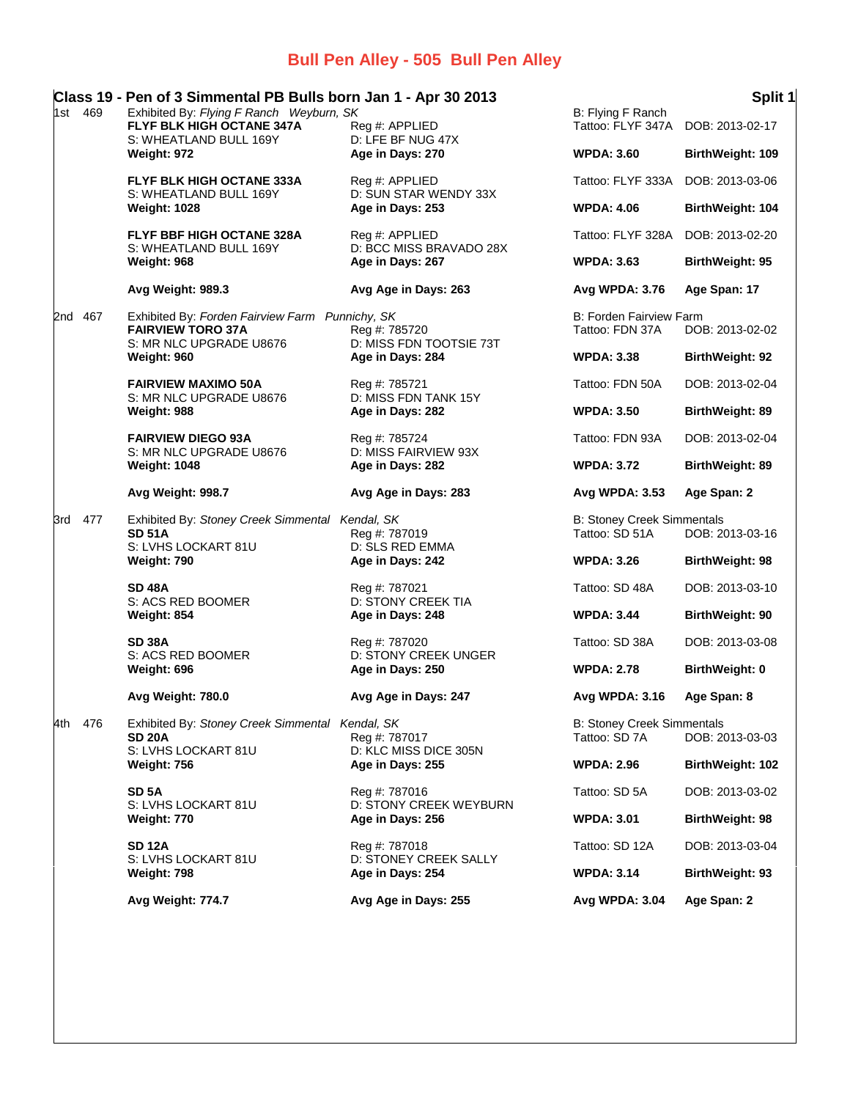## **Bull Pen Alley - 505 Bull Pen Alley**

|     |         | Class 19 - Pen of 3 Simmental PB Bulls born Jan 1 - Apr 30 2013                                               |                                                                                                                           |                                                     | Split 1                 |
|-----|---------|---------------------------------------------------------------------------------------------------------------|---------------------------------------------------------------------------------------------------------------------------|-----------------------------------------------------|-------------------------|
| 1st | 469     | Exhibited By: Flying F Ranch Weyburn, SK<br>FLYF BLK HIGH OCTANE 347A<br>S: WHEATLAND BULL 169Y               | Reg #: APPLIED<br>D: LFE BF NUG 47X                                                                                       | B: Flying F Ranch<br>Tattoo: FLYF 347A              | DOB: 2013-02-17         |
|     |         | Weight: 972                                                                                                   | Age in Days: 270                                                                                                          | <b>WPDA: 3.60</b>                                   | BirthWeight: 109        |
|     |         | <b>FLYF BLK HIGH OCTANE 333A</b>                                                                              | Reg #: APPLIED                                                                                                            | Tattoo: FLYF 333A                                   | DOB: 2013-03-06         |
|     |         | S: WHEATLAND BULL 169Y<br><b>Weight: 1028</b>                                                                 | D: SUN STAR WENDY 33X<br>Age in Days: 253                                                                                 | <b>WPDA: 4.06</b>                                   | BirthWeight: 104        |
|     |         | FLYF BBF HIGH OCTANE 328A                                                                                     | Reg #: APPLIED                                                                                                            | Tattoo: FLYF 328A                                   | DOB: 2013-02-20         |
|     |         | S: WHEATLAND BULL 169Y<br>Weight: 968                                                                         | D: BCC MISS BRAVADO 28X<br>Age in Days: 267                                                                               | <b>WPDA: 3.63</b>                                   | BirthWeight: 95         |
|     |         | Avg Weight: 989.3                                                                                             | Avg Age in Days: 263                                                                                                      | Avg WPDA: 3.76                                      | Age Span: 17            |
|     | 2nd 467 | Exhibited By: Forden Fairview Farm Punnichy, SK<br><b>FAIRVIEW TORO 37A</b><br>S: MR NLC UPGRADE U8676        | Reg #: 785720<br>D: MISS FDN TOOTSIE 73T                                                                                  | B: Forden Fairview Farm<br>Tattoo: FDN 37A          | DOB: 2013-02-02         |
|     |         | Weight: 960                                                                                                   | Age in Days: 284                                                                                                          | <b>WPDA: 3.38</b>                                   | <b>BirthWeight: 92</b>  |
|     |         | <b>FAIRVIEW MAXIMO 50A</b>                                                                                    | Reg #: 785721                                                                                                             | Tattoo: FDN 50A                                     | DOB: 2013-02-04         |
|     |         | S: MR NLC UPGRADE U8676<br>Weight: 988                                                                        | D: MISS FDN TANK 15Y<br>Age in Days: 282                                                                                  | <b>WPDA: 3.50</b>                                   | BirthWeight: 89         |
|     |         | <b>FAIRVIEW DIEGO 93A</b>                                                                                     | Reg #: 785724                                                                                                             | Tattoo: FDN 93A                                     | DOB: 2013-02-04         |
|     |         | S: MR NLC UPGRADE U8676<br><b>Weight: 1048</b>                                                                | D: MISS FAIRVIEW 93X<br>Age in Days: 282                                                                                  | <b>WPDA: 3.72</b>                                   | BirthWeight: 89         |
|     |         | Avg Weight: 998.7                                                                                             | Avg Age in Days: 283                                                                                                      | Avg WPDA: 3.53                                      | Age Span: 2             |
|     | 3rd 477 | Exhibited By: Stoney Creek Simmental Kendal, SK<br><b>SD 51A</b>                                              | Reg #: 787019<br>D: SLS RED EMMA                                                                                          | <b>B: Stoney Creek Simmentals</b><br>Tattoo: SD 51A | DOB: 2013-03-16         |
|     |         | S: LVHS LOCKART 81U<br>Weight: 790                                                                            | Age in Days: 242                                                                                                          | <b>WPDA: 3.26</b>                                   | <b>BirthWeight: 98</b>  |
|     |         | <b>SD 48A</b><br>S: ACS RED BOOMER                                                                            | Reg #: 787021<br>D: STONY CREEK TIA                                                                                       | Tattoo: SD 48A                                      | DOB: 2013-03-10         |
|     |         | Weight: 854                                                                                                   | Age in Days: 248                                                                                                          | <b>WPDA: 3.44</b>                                   | <b>BirthWeight: 90</b>  |
|     |         | <b>SD 38A</b><br>S: ACS RED BOOMER                                                                            | Reg #: 787020<br><b>D: STONY CREEK UNGER</b>                                                                              | Tattoo: SD 38A                                      | DOB: 2013-03-08         |
|     |         | Weight: 696                                                                                                   | Age in Days: 250                                                                                                          | <b>WPDA: 2.78</b>                                   | <b>BirthWeight: 0</b>   |
|     |         | Avg Weight: 780.0                                                                                             | Avg Age in Days: 247                                                                                                      | Avg WPDA: 3.16                                      | Age Span: 8             |
| 4th | 476     | Exhibited By: Stoney Creek Simmental Kendal, SK<br><b>SD 20A</b><br>S: LVHS LOCKART 81U<br><b>Weight: 756</b> | Reg #: 787017<br>D: KLC MISS DICE 305N<br>Age in Days: 255<br>Reg #: 787016<br>D: STONY CREEK WEYBURN<br>Age in Days: 256 | <b>B: Stoney Creek Simmentals</b><br>Tattoo: SD 7A  | DOB: 2013-03-03         |
|     |         |                                                                                                               |                                                                                                                           | <b>WPDA: 2.96</b>                                   | <b>BirthWeight: 102</b> |
|     |         | SD <sub>5</sub> A                                                                                             |                                                                                                                           | Tattoo: SD 5A                                       | DOB: 2013-03-02         |
|     |         | S: LVHS LOCKART 81U<br><b>Weight: 770</b>                                                                     |                                                                                                                           | <b>WPDA: 3.01</b>                                   | <b>BirthWeight: 98</b>  |
|     |         | <b>SD 12A</b>                                                                                                 | Reg #: 787018                                                                                                             | Tattoo: SD 12A                                      | DOB: 2013-03-04         |
|     |         | S: LVHS LOCKART 81U<br>Weight: 798                                                                            | D: STONEY CREEK SALLY<br>Age in Days: 254                                                                                 | <b>WPDA: 3.14</b>                                   | <b>BirthWeight: 93</b>  |
|     |         | Avg Weight: 774.7                                                                                             | Avg Age in Days: 255                                                                                                      | Avg WPDA: 3.04                                      | Age Span: 2             |
|     |         |                                                                                                               |                                                                                                                           |                                                     |                         |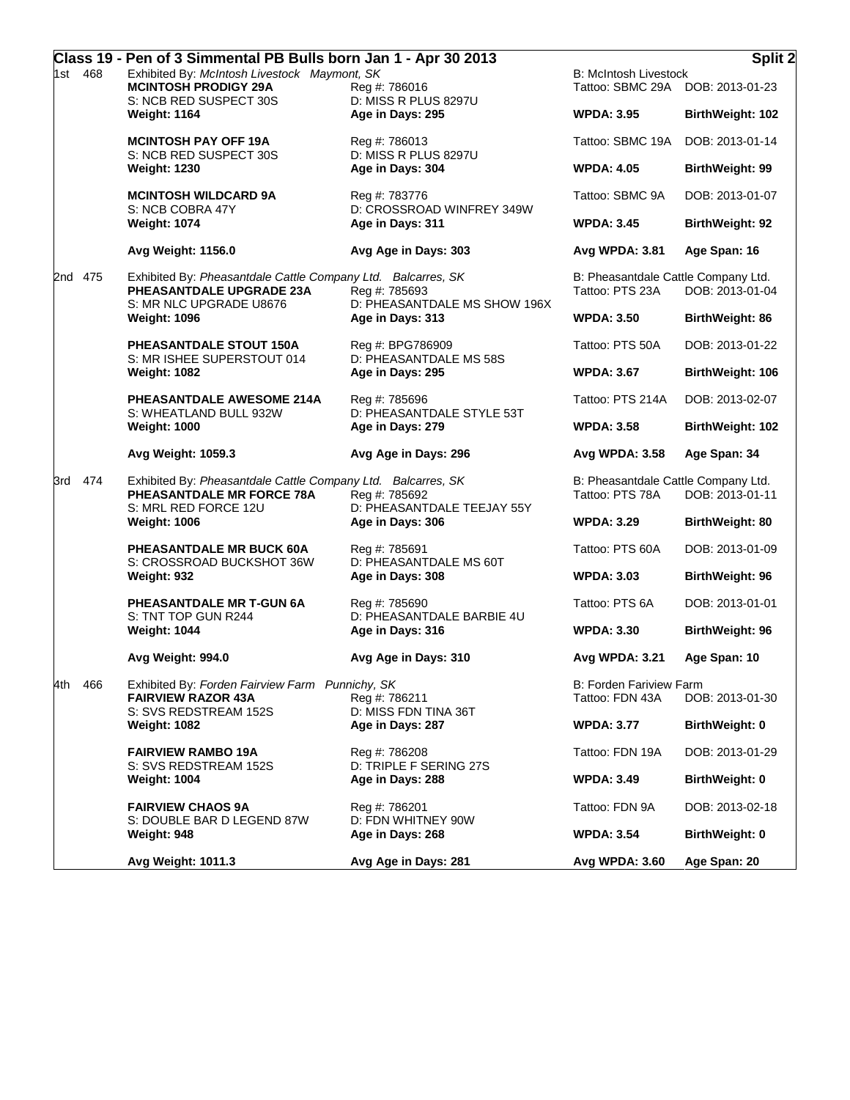|            |         | Class 19 - Pen of 3 Simmental PB Bulls born Jan 1 - Apr 30 2013                                                     |                                                                |                                                                  | Split 2                 |
|------------|---------|---------------------------------------------------------------------------------------------------------------------|----------------------------------------------------------------|------------------------------------------------------------------|-------------------------|
| 468<br>1st |         | Exhibited By: McIntosh Livestock Maymont, SK<br><b>MCINTOSH PRODIGY 29A</b>                                         | Reg #: 786016                                                  | <b>B: McIntosh Livestock</b><br>Tattoo: SBMC 29A DOB: 2013-01-23 |                         |
|            |         | S: NCB RED SUSPECT 30S<br><b>Weight: 1164</b>                                                                       | D: MISS R PLUS 8297U<br>Age in Days: 295                       | <b>WPDA: 3.95</b>                                                | <b>BirthWeight: 102</b> |
|            |         | <b>MCINTOSH PAY OFF 19A</b><br>S: NCB RED SUSPECT 30S                                                               | Reg #: 786013<br>D: MISS R PLUS 8297U                          | Tattoo: SBMC 19A                                                 | DOB: 2013-01-14         |
|            |         | <b>Weight: 1230</b>                                                                                                 | Age in Days: 304                                               | <b>WPDA: 4.05</b>                                                | BirthWeight: 99         |
|            |         | <b>MCINTOSH WILDCARD 9A</b><br>S: NCB COBRA 47Y                                                                     | Reg #: 783776<br>D: CROSSROAD WINFREY 349W                     | Tattoo: SBMC 9A                                                  | DOB: 2013-01-07         |
|            |         | <b>Weight: 1074</b>                                                                                                 | Age in Days: 311                                               | <b>WPDA: 3.45</b>                                                | BirthWeight: 92         |
|            |         | Avg Weight: 1156.0                                                                                                  | Avg Age in Days: 303                                           | Avg WPDA: 3.81                                                   | Age Span: 16            |
|            | 2nd 475 | Exhibited By: Pheasantdale Cattle Company Ltd. Balcarres, SK<br>PHEASANTDALE UPGRADE 23A<br>S: MR NLC UPGRADE U8676 | Reg #: 785693<br>D: PHEASANTDALE MS SHOW 196X                  | B: Pheasantdale Cattle Company Ltd.<br>Tattoo: PTS 23A           | DOB: 2013-01-04         |
|            |         | <b>Weight: 1096</b>                                                                                                 | Age in Days: 313                                               | <b>WPDA: 3.50</b>                                                | <b>BirthWeight: 86</b>  |
|            |         | PHEASANTDALE STOUT 150A<br>S: MR ISHEE SUPERSTOUT 014                                                               | Reg #: BPG786909<br>D: PHEASANTDALE MS 58S                     | Tattoo: PTS 50A                                                  | DOB: 2013-01-22         |
|            |         | <b>Weight: 1082</b>                                                                                                 | Age in Days: 295                                               | <b>WPDA: 3.67</b>                                                | BirthWeight: 106        |
|            |         | PHEASANTDALE AWESOME 214A<br>S: WHEATLAND BULL 932W                                                                 | Reg #: 785696<br>D: PHEASANTDALE STYLE 53T                     | Tattoo: PTS 214A                                                 | DOB: 2013-02-07         |
|            |         | <b>Weight: 1000</b>                                                                                                 | Age in Days: 279                                               | <b>WPDA: 3.58</b>                                                | BirthWeight: 102        |
|            |         | Avg Weight: 1059.3                                                                                                  | Avg Age in Days: 296                                           | Avg WPDA: 3.58                                                   | Age Span: 34            |
| 3rd -      | 474     | Exhibited By: Pheasantdale Cattle Company Ltd. Balcarres, SK<br>PHEASANTDALE MR FORCE 78A<br>S: MRL RED FORCE 12U   | Reg #: 785692<br>D: PHEASANTDALE TEEJAY 55Y                    | B: Pheasantdale Cattle Company Ltd.<br>Tattoo: PTS 78A           | DOB: 2013-01-11         |
|            |         | <b>Weight: 1006</b>                                                                                                 | Age in Days: 306                                               | <b>WPDA: 3.29</b>                                                | BirthWeight: 80         |
|            |         | PHEASANTDALE MR BUCK 60A<br>S: CROSSROAD BUCKSHOT 36W                                                               | Reg #: 785691<br>D: PHEASANTDALE MS 60T                        | Tattoo: PTS 60A                                                  | DOB: 2013-01-09         |
|            |         | Weight: 932                                                                                                         | Age in Days: 308<br>Reg #: 785690<br>D: PHEASANTDALE BARBIE 4U | <b>WPDA: 3.03</b>                                                | BirthWeight: 96         |
|            |         | PHEASANTDALE MR T-GUN 6A<br>S: TNT TOP GUN R244                                                                     |                                                                | Tattoo: PTS 6A                                                   | DOB: 2013-01-01         |
|            |         | <b>Weight: 1044</b>                                                                                                 | Age in Days: 316                                               | <b>WPDA: 3.30</b>                                                | BirthWeight: 96         |
|            |         | Avg Weight: 994.0                                                                                                   | Avg Age in Days: 310                                           | <b>Avg WPDA: 3.21</b>                                            | Age Span: 10            |
| 4th        | 466     | Exhibited By: Forden Fairview Farm Punnichy, SK<br><b>FAIRVIEW RAZOR 43A</b><br>S: SVS REDSTREAM 152S               | Reg #: 786211<br>D: MISS FDN TINA 36T                          | <b>B: Forden Fariview Farm</b><br>Tattoo: FDN 43A                | DOB: 2013-01-30         |
|            |         | <b>Weight: 1082</b>                                                                                                 | Age in Days: 287                                               | <b>WPDA: 3.77</b>                                                | BirthWeight: 0          |
|            |         | <b>FAIRVIEW RAMBO 19A</b><br>S: SVS REDSTREAM 152S                                                                  | Reg #: 786208<br>D: TRIPLE F SERING 27S                        | Tattoo: FDN 19A                                                  | DOB: 2013-01-29         |
|            |         | <b>Weight: 1004</b>                                                                                                 | Age in Days: 288                                               | <b>WPDA: 3.49</b>                                                | <b>BirthWeight: 0</b>   |
|            |         | <b>FAIRVIEW CHAOS 9A</b><br>S: DOUBLE BAR D LEGEND 87W                                                              | Reg #: 786201<br>D: FDN WHITNEY 90W                            | Tattoo: FDN 9A                                                   | DOB: 2013-02-18         |
|            |         | Weight: 948                                                                                                         | Age in Days: 268                                               | <b>WPDA: 3.54</b>                                                | <b>BirthWeight: 0</b>   |
|            |         | Avg Weight: 1011.3                                                                                                  | Avg Age in Days: 281                                           | Avg WPDA: 3.60                                                   | Age Span: 20            |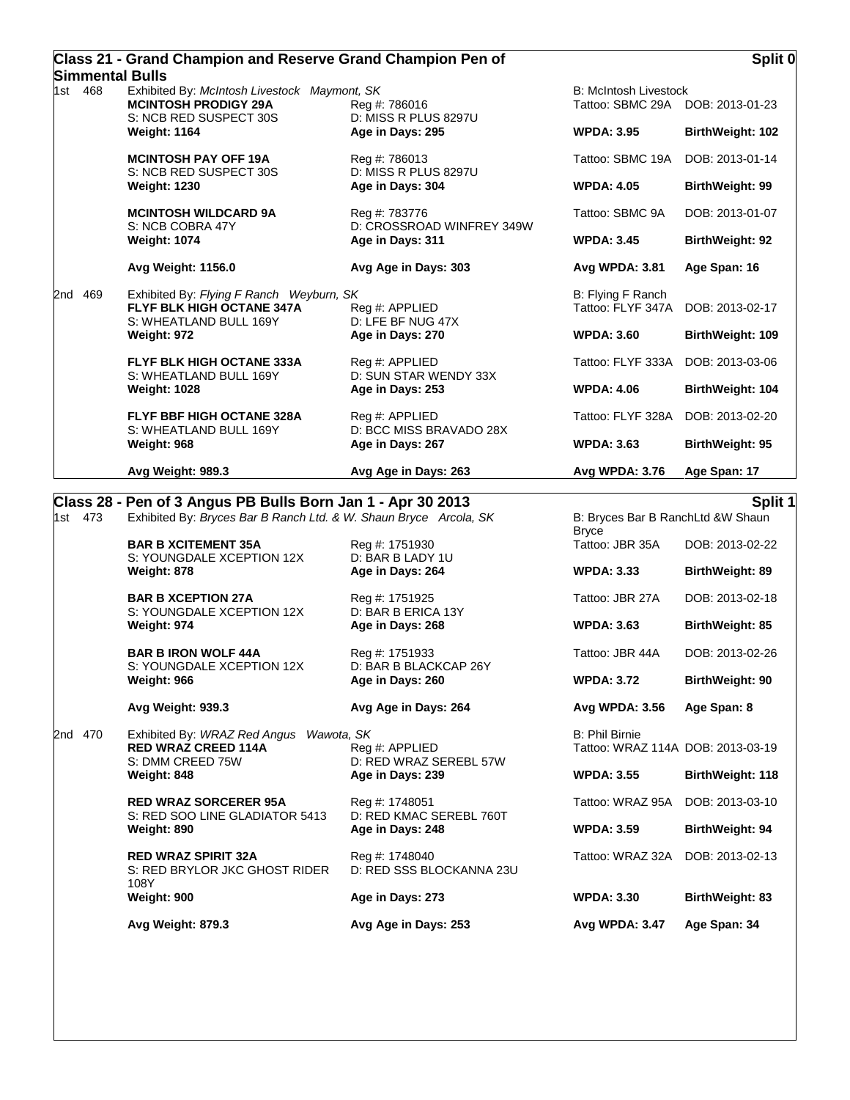| Class 21 - Grand Champion and Reserve Grand Champion Pen of |  |
|-------------------------------------------------------------|--|
| Simmental Bulls                                             |  |

|     |         | Avg Weight: 989.3                                                                                      | Avg Age in Days: 263                                        | Avg WPDA: 3.76                                                      | Age Span: 17            |
|-----|---------|--------------------------------------------------------------------------------------------------------|-------------------------------------------------------------|---------------------------------------------------------------------|-------------------------|
|     |         | S: WHEATLAND BULL 169Y<br>Weight: 968                                                                  | D: BCC MISS BRAVADO 28X<br>Age in Days: 267                 | <b>WPDA: 3.63</b>                                                   | BirthWeight: 95         |
|     |         | S: WHEATLAND BULL 169Y<br><b>Weight: 1028</b><br>FLYF BBF HIGH OCTANE 328A                             | D: SUN STAR WENDY 33X<br>Age in Days: 253<br>Reg #: APPLIED | Tattoo: FLYF 328A                                                   | DOB: 2013-02-20         |
|     |         |                                                                                                        |                                                             | <b>WPDA: 4.06</b>                                                   | <b>BirthWeight: 104</b> |
|     |         | <b>FLYF BLK HIGH OCTANE 333A</b>                                                                       | Age in Days: 270<br>Reg #: APPLIED                          | Tattoo: FLYF 333A                                                   | DOB: 2013-03-06         |
|     |         | Weight: 972                                                                                            |                                                             | <b>WPDA: 3.60</b>                                                   | BirthWeight: 109        |
| 2nd | 469     | Exhibited By: Flying F Ranch Weyburn, SK<br><b>FLYF BLK HIGH OCTANE 347A</b><br>S: WHEATLAND BULL 169Y | Reg #: APPLIED<br>D: LFE BF NUG 47X                         | B: Flying F Ranch<br>Tattoo: FLYF 347A                              | DOB: 2013-02-17         |
|     |         | Avg Weight: 1156.0                                                                                     | Avg Age in Days: 303                                        | Avg WPDA: 3.81                                                      | Age Span: 16            |
|     |         | <b>Weight: 1074</b>                                                                                    | Age in Days: 311                                            | <b>WPDA: 3.45</b>                                                   | <b>BirthWeight: 92</b>  |
|     |         | <b>MCINTOSH WILDCARD 9A</b><br>S: NCB COBRA 47Y                                                        | Reg #: 783776<br>D: CROSSROAD WINFREY 349W                  | Tattoo: SBMC 9A                                                     | DOB: 2013-01-07         |
|     |         | <b>Weight: 1230</b>                                                                                    | Age in Days: 304                                            | <b>WPDA: 4.05</b>                                                   | BirthWeight: 99         |
|     |         | <b>MCINTOSH PAY OFF 19A</b><br>S: NCB RED SUSPECT 30S                                                  | Reg #: 786013<br>D: MISS R PLUS 8297U                       | Tattoo: SBMC 19A                                                    | DOB: 2013-01-14         |
|     |         | <b>Weight: 1164</b>                                                                                    | Age in Days: 295                                            | <b>WPDA: 3.95</b>                                                   | BirthWeight: 102        |
|     | 1st 468 | Exhibited By: McIntosh Livestock Maymont, SK<br><b>MCINTOSH PRODIGY 29A</b><br>S: NCB RED SUSPECT 30S  | Reg #: 786016<br>D: MISS R PLUS 8297U                       | <b>B: McIntosh Livestock</b><br>Tattoo: SBMC 29A<br>DOB: 2013-01-23 |                         |
|     |         | JIIIIIII GIILAI DUIIS                                                                                  |                                                             |                                                                     |                         |

## **Class 28 - Pen of 3 Angus PB Bulls Born Jan 1 - Apr 30 2013 Split 1**

1st 473 Exhibited By: *Bryces Bar B Ranch Ltd. & W. Shaun Bryce Arcola, SK* B: Bryces Bar B RanchLtd &W Shaun

Bryce<br>Tattoo: JBR 35A **BAR B XCITEMENT 35A** Reg #: 1751930 **Reg 35A** Tattoo: JBR 35A DOB: 2013-02-22 S: YOUNGDALE XCEPTION 12X D: BAR B LADY 1U **Weight: 878 Age in Days: 264 WPDA: 3.33 BirthWeight: 89 BAR B XCEPTION 27A** Reg #: 1751925 Tattoo: JBR 27A DOB: 2013-02-18 S: YOUNGDALE XCEPTION 12X D: BAR B ERICA 13Y **Weight: 974 Age in Days: 268 WPDA: 3.63 BirthWeight: 85 BAR B IRON WOLF 44A** Reg #: 1751933 Tattoo: JBR 44A DOB: 2013-02-26 S: YOUNGDALE XCEPTION 12X D: BAR B BLACKCAP 26Y **Weight: 966 Age in Days: 260 WPDA: 3.72 BirthWeight: 90 Avg Weight: 939.3 Avg Age in Days: 264 Avg WPDA: 3.56 Age Span: 8** 2nd 470 Exhibited By: *WRAZ Red Angus Wawota, SK* B: Phil Birnie Tattoo: WRAZ 114A DOB: 2013-03-19 S: DMM CREED 75W D: RED WRAZ SEREBL 57W **Weight: 848 Age in Days: 239 WPDA: 3.55 BirthWeight: 118 RED WRAZ SORCERER 95A** Reg #: 1748051 Restail of the Tattoo: WRAZ 95A DOB: 2013-03-10<br>S: RED SOO LINE GLADIATOR 5413 D: RED KMAC SEREBL 760T S: RED SOO LINE GLADIATOR 5413 **Weight: 890 Age in Days: 248 WPDA: 3.59 BirthWeight: 94 RED WRAZ SPIRIT 32A** Reg #: 1748040 Tattoo: WRAZ 32A DOB: 2013-02-13 S: RED BRYLOR JKC GHOST RIDER 108Y D: RED SSS BLOCKANNA 23U **Weight: 900 Age in Days: 273 WPDA: 3.30 BirthWeight: 83 Avg Weight: 879.3 Avg Age in Days: 253 Avg WPDA: 3.47 Age Span: 34**

## **Split 0**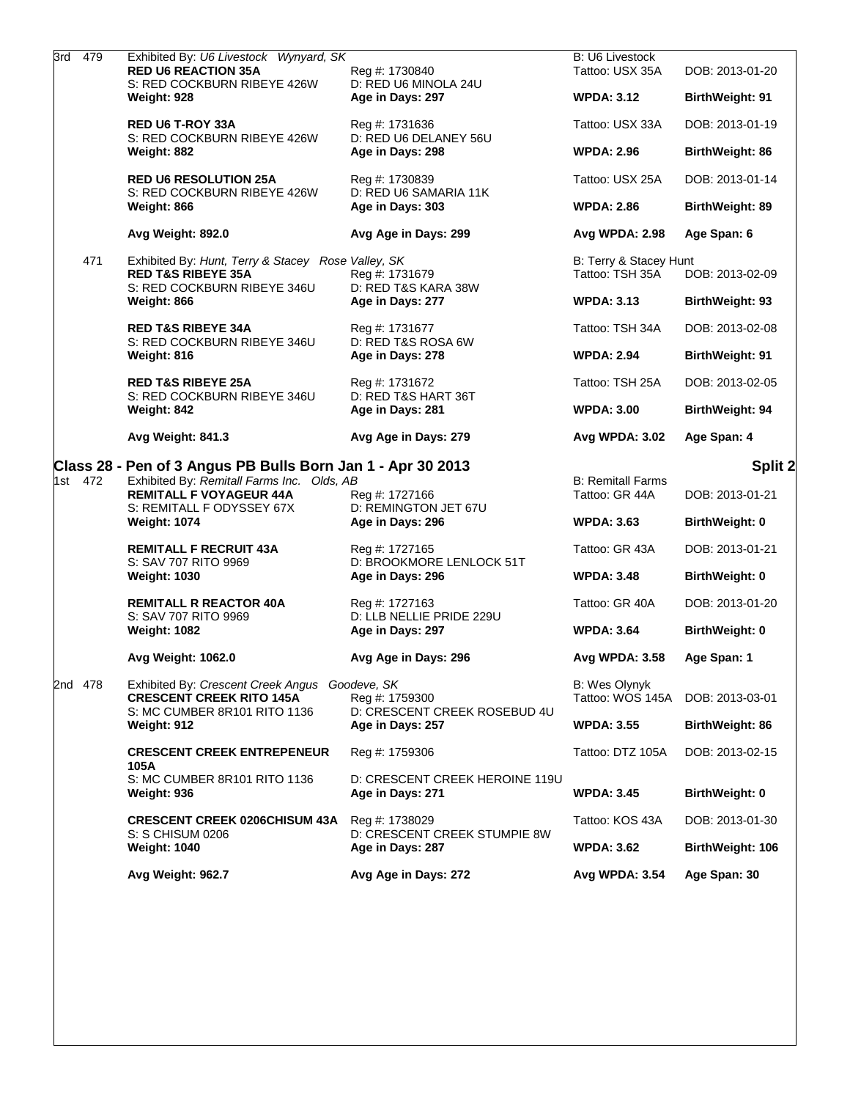|  | 3rd 479 | Exhibited By: U6 Livestock Wynyard, SK<br><b>RED U6 REACTION 35A</b>                                               | Reg #: 1730840                                              | <b>B: U6 Livestock</b><br>Tattoo: USX 35A  | DOB: 2013-01-20        |
|--|---------|--------------------------------------------------------------------------------------------------------------------|-------------------------------------------------------------|--------------------------------------------|------------------------|
|  |         | S: RED COCKBURN RIBEYE 426W<br>Weight: 928                                                                         | D: RED U6 MINOLA 24U<br>Age in Days: 297                    | <b>WPDA: 3.12</b>                          | <b>BirthWeight: 91</b> |
|  |         | <b>RED U6 T-ROY 33A</b><br>S: RED COCKBURN RIBEYE 426W                                                             | Reg #: 1731636                                              | Tattoo: USX 33A                            | DOB: 2013-01-19        |
|  |         | Weight: 882                                                                                                        | D: RED U6 DELANEY 56U<br>Age in Days: 298                   | <b>WPDA: 2.96</b>                          | <b>BirthWeight: 86</b> |
|  |         | <b>RED U6 RESOLUTION 25A</b><br>S: RED COCKBURN RIBEYE 426W<br>Weight: 866                                         | Reg #: 1730839<br>D: RED U6 SAMARIA 11K<br>Age in Days: 303 | Tattoo: USX 25A                            | DOB: 2013-01-14        |
|  |         |                                                                                                                    |                                                             | <b>WPDA: 2.86</b>                          | <b>BirthWeight: 89</b> |
|  |         | Avg Weight: 892.0                                                                                                  | Avg Age in Days: 299                                        | <b>Avg WPDA: 2.98</b>                      | Age Span: 6            |
|  | 471     | Exhibited By: Hunt, Terry & Stacey Rose Valley, SK<br><b>RED T&amp;S RIBEYE 35A</b><br>S: RED COCKBURN RIBEYE 346U | Reg #: 1731679<br>D: RED T&S KARA 38W                       | B: Terry & Stacey Hunt<br>Tattoo: TSH 35A  | DOB: 2013-02-09        |
|  |         | Weight: 866                                                                                                        | Age in Days: 277                                            | <b>WPDA: 3.13</b>                          | BirthWeight: 93        |
|  |         | <b>RED T&amp;S RIBEYE 34A</b><br>S: RED COCKBURN RIBEYE 346U                                                       | Reg #: 1731677<br>D: RED T&S ROSA 6W                        | Tattoo: TSH 34A                            | DOB: 2013-02-08        |
|  |         | Weight: 816                                                                                                        | Age in Days: 278                                            | <b>WPDA: 2.94</b>                          | BirthWeight: 91        |
|  |         | <b>RED T&amp;S RIBEYE 25A</b><br>S: RED COCKBURN RIBEYE 346U                                                       | Reg #: 1731672<br>D: RED T&S HART 36T                       | Tattoo: TSH 25A                            | DOB: 2013-02-05        |
|  |         | Weight: 842                                                                                                        | Age in Days: 281                                            | <b>WPDA: 3.00</b>                          | BirthWeight: 94        |
|  |         | Avg Weight: 841.3                                                                                                  | Avg Age in Days: 279                                        | <b>Avg WPDA: 3.02</b>                      | Age Span: 4            |
|  |         |                                                                                                                    |                                                             |                                            |                        |
|  |         | Class 28 - Pen of 3 Angus PB Bulls Born Jan 1 - Apr 30 2013                                                        |                                                             |                                            | Split 2                |
|  | 1st 472 | Exhibited By: Remitall Farms Inc. Olds, AB<br><b>REMITALL F VOYAGEUR 44A</b>                                       | Reg #: 1727166                                              | <b>B: Remitall Farms</b><br>Tattoo: GR 44A | DOB: 2013-01-21        |
|  |         | S: REMITALL F ODYSSEY 67X<br><b>Weight: 1074</b>                                                                   | D: REMINGTON JET 67U<br>Age in Days: 296                    | <b>WPDA: 3.63</b>                          | BirthWeight: 0         |
|  |         | <b>REMITALL F RECRUIT 43A</b><br>S: SAV 707 RITO 9969                                                              | Reg #: 1727165                                              | Tattoo: GR 43A                             | DOB: 2013-01-21        |
|  |         | <b>Weight: 1030</b>                                                                                                | D: BROOKMORE LENLOCK 51T<br>Age in Days: 296                | <b>WPDA: 3.48</b>                          | BirthWeight: 0         |
|  |         | <b>REMITALL R REACTOR 40A</b>                                                                                      | Reg #: 1727163                                              | Tattoo: GR 40A                             | DOB: 2013-01-20        |
|  |         | S: SAV 707 RITO 9969<br><b>Weight: 1082</b>                                                                        | D: LLB NELLIE PRIDE 229U<br>Age in Days: 297                | <b>WPDA: 3.64</b>                          | <b>BirthWeight: 0</b>  |
|  |         | Avg Weight: 1062.0                                                                                                 | Avg Age in Days: 296                                        | Avg WPDA: 3.58                             | Age Span: 1            |
|  | 2nd 478 | Exhibited By: Crescent Creek Angus Goodeve, SK<br><b>CRESCENT CREEK RITO 145A</b>                                  | Reg #: 1759300                                              | <b>B: Wes Olynyk</b><br>Tattoo: WOS 145A   | DOB: 2013-03-01        |
|  |         | S: MC CUMBER 8R101 RITO 1136<br>Weight: 912                                                                        | D: CRESCENT CREEK ROSEBUD 4U<br>Age in Days: 257            | <b>WPDA: 3.55</b>                          | BirthWeight: 86        |
|  |         | <b>CRESCENT CREEK ENTREPENEUR</b>                                                                                  | Reg #: 1759306                                              | Tattoo: DTZ 105A                           | DOB: 2013-02-15        |
|  |         | 105A<br>S: MC CUMBER 8R101 RITO 1136<br>Weight: 936                                                                | D: CRESCENT CREEK HEROINE 119U<br>Age in Days: 271          | <b>WPDA: 3.45</b>                          | BirthWeight: 0         |
|  |         | <b>CRESCENT CREEK 0206CHISUM 43A</b>                                                                               | Reg #: 1738029                                              | Tattoo: KOS 43A                            | DOB: 2013-01-30        |
|  |         | S: S CHISUM 0206<br><b>Weight: 1040</b>                                                                            | D: CRESCENT CREEK STUMPIE 8W<br>Age in Days: 287            | <b>WPDA: 3.62</b>                          | BirthWeight: 106       |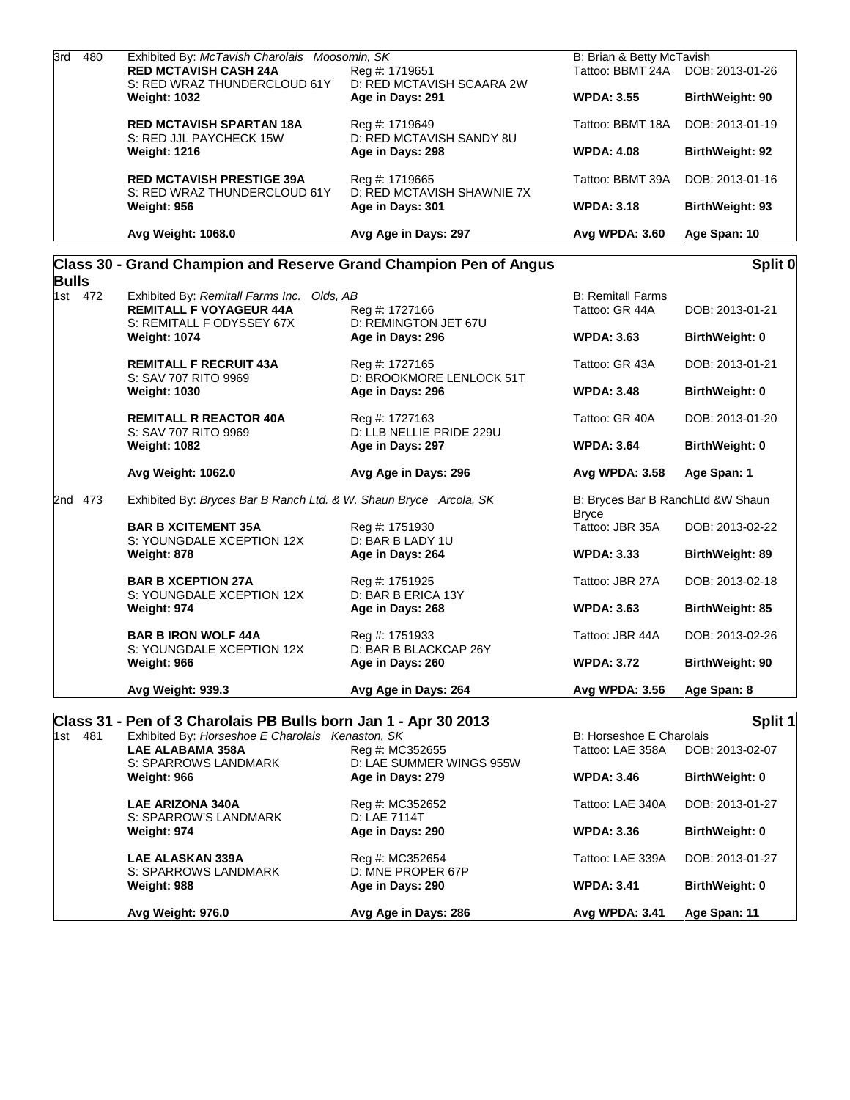| 3rd<br>480   | Exhibited By: McTavish Charolais Moosomin, SK                     |                                                                | B: Brian & Betty McTavish                         |                       |
|--------------|-------------------------------------------------------------------|----------------------------------------------------------------|---------------------------------------------------|-----------------------|
|              | <b>RED MCTAVISH CASH 24A</b><br>S: RED WRAZ THUNDERCLOUD 61Y      | Reg #: 1719651<br>D: RED MCTAVISH SCAARA 2W                    | Tattoo: BBMT 24A                                  | DOB: 2013-01-26       |
|              | <b>Weight: 1032</b>                                               | Age in Days: 291                                               | <b>WPDA: 3.55</b>                                 | BirthWeight: 90       |
|              | <b>RED MCTAVISH SPARTAN 18A</b><br>S: RED JJL PAYCHECK 15W        | Reg #: 1719649<br>D: RED MCTAVISH SANDY 8U                     | Tattoo: BBMT 18A                                  | DOB: 2013-01-19       |
|              | <b>Weight: 1216</b>                                               | Age in Days: 298                                               | <b>WPDA: 4.08</b>                                 | BirthWeight: 92       |
|              | <b>RED MCTAVISH PRESTIGE 39A</b><br>S: RED WRAZ THUNDERCLOUD 61Y  | Reg #: 1719665<br>D: RED MCTAVISH SHAWNIE 7X                   | Tattoo: BBMT 39A                                  | DOB: 2013-01-16       |
|              | <b>Weight: 956</b>                                                | Age in Days: 301                                               | <b>WPDA: 3.18</b>                                 | BirthWeight: 93       |
|              | Avg Weight: 1068.0                                                | Avg Age in Days: 297                                           | Avg WPDA: 3.60                                    | Age Span: 10          |
| <b>Bulls</b> | Class 30 - Grand Champion and Reserve Grand Champion Pen of Angus |                                                                |                                                   | Split 0               |
| 1st 472      | Exhibited By: Remitall Farms Inc. Olds, AB                        |                                                                | <b>B: Remitall Farms</b>                          |                       |
|              | <b>REMITALL F VOYAGEUR 44A</b><br>S: REMITALL F ODYSSEY 67X       | Reg #: 1727166<br>D: REMINGTON JET 67U                         | Tattoo: GR 44A                                    | DOB: 2013-01-21       |
|              | <b>Weight: 1074</b>                                               | Age in Days: 296                                               | <b>WPDA: 3.63</b>                                 | <b>BirthWeight: 0</b> |
|              | <b>REMITALL F RECRUIT 43A</b><br>S: SAV 707 RITO 9969             | Reg #: 1727165<br>D: BROOKMORE LENLOCK 51T<br>Age in Days: 296 | Tattoo: GR 43A                                    | DOB: 2013-01-21       |
|              | <b>Weight: 1030</b>                                               |                                                                | <b>WPDA: 3.48</b>                                 | BirthWeight: 0        |
|              | <b>REMITALL R REACTOR 40A</b><br>S: SAV 707 RITO 9969             | Reg #: 1727163<br>D: LLB NELLIE PRIDE 229U                     | Tattoo: GR 40A                                    | DOB: 2013-01-20       |
|              | <b>Weight: 1082</b>                                               | Age in Days: 297                                               | <b>WPDA: 3.64</b>                                 | BirthWeight: 0        |
|              | Avg Weight: 1062.0                                                | Avg Age in Days: 296                                           | Avg WPDA: 3.58                                    | Age Span: 1           |
| 2nd 473      | Exhibited By: Bryces Bar B Ranch Ltd. & W. Shaun Bryce Arcola, SK |                                                                | B: Bryces Bar B RanchLtd &W Shaun<br><b>Bryce</b> |                       |
|              | <b>BAR B XCITEMENT 35A</b><br>S: YOUNGDALE XCEPTION 12X           | Reg #: 1751930<br>D: BAR B LADY 1U                             | Tattoo: JBR 35A                                   | DOB: 2013-02-22       |
|              | Weight: 878                                                       | Age in Days: 264                                               | <b>WPDA: 3.33</b>                                 | BirthWeight: 89       |
|              | <b>BAR B XCEPTION 27A</b><br>S: YOUNGDALE XCEPTION 12X            | Reg #: 1751925<br>D: BAR B ERICA 13Y                           | Tattoo: JBR 27A                                   | DOB: 2013-02-18       |
|              | Weight: 974                                                       | Age in Days: 268                                               | <b>WPDA: 3.63</b>                                 | BirthWeight: 85       |
|              | <b>BAR B IRON WOLF 44A</b><br>S: YOUNGDALE XCEPTION 12X           | Reg #: 1751933<br>D: BAR B BLACKCAP 26Y                        | Tattoo: JBR 44A                                   | DOB: 2013-02-26       |
|              | Weight: 966                                                       | Age in Days: 260                                               | <b>WPDA: 3.72</b>                                 | BirthWeight: 90       |
|              | Avg Weight: 939.3                                                 | Avg Age in Days: 264                                           | Avg WPDA: 3.56                                    | Age Span: 8           |
|              | Class 31 - Pen of 3 Charolais PB Bulls born Jan 1 - Apr 30 2013   |                                                                |                                                   | Split 1               |
| 1st 481      | Exhibited By: Horseshoe E Charolais Kenaston, SK                  |                                                                | B: Horseshoe E Charolais                          |                       |
|              | <b>LAE ALABAMA 358A</b>                                           | Reg #: MC352655                                                | Tattoo: LAE 358A                                  | DOB: 2013-02-07       |
|              | S: SPARROWS LANDMARK<br>Weight: 966                               | D: LAE SUMMER WINGS 955W<br>Age in Days: 279                   | <b>WPDA: 3.46</b>                                 | BirthWeight: 0        |
|              | <b>LAE ARIZONA 340A</b>                                           | Reg #: MC352652                                                | Tattoo: LAE 340A                                  | DOB: 2013-01-27       |
|              | S: SPARROW'S LANDMARK<br>Weight: 974                              | D: LAE 7114T<br>Age in Days: 290                               | <b>WPDA: 3.36</b>                                 | <b>BirthWeight: 0</b> |
|              |                                                                   |                                                                |                                                   | DOB: 2013-01-27       |
|              | <b>LAE ALASKAN 339A</b><br>S: SPARROWS LANDMARK                   | Reg #: MC352654<br>D: MNE PROPER 67P                           | Tattoo: LAE 339A                                  |                       |
|              | Weight: 988                                                       | Age in Days: 290                                               | <b>WPDA: 3.41</b>                                 | BirthWeight: 0        |
|              | Avg Weight: 976.0                                                 | Avg Age in Days: 286                                           | Avg WPDA: 3.41                                    | Age Span: 11          |